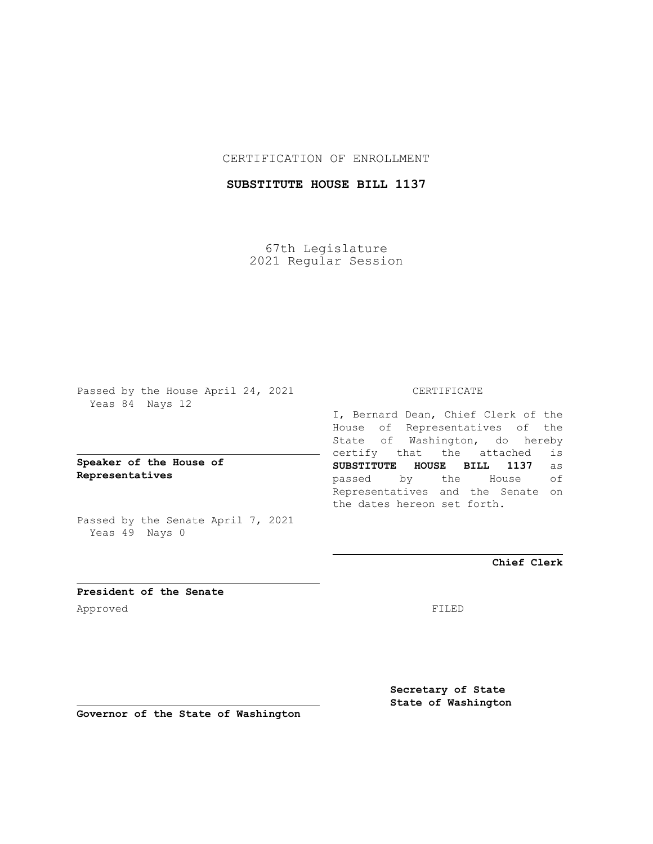### CERTIFICATION OF ENROLLMENT

## **SUBSTITUTE HOUSE BILL 1137**

67th Legislature 2021 Regular Session

Passed by the House April 24, 2021 Yeas 84 Nays 12

**Speaker of the House of Representatives**

Passed by the Senate April 7, 2021 Yeas 49 Nays 0

#### CERTIFICATE

I, Bernard Dean, Chief Clerk of the House of Representatives of the State of Washington, do hereby certify that the attached is **SUBSTITUTE HOUSE BILL 1137** as passed by the House of Representatives and the Senate on the dates hereon set forth.

**Chief Clerk**

**President of the Senate** Approved FILED

**Secretary of State State of Washington**

**Governor of the State of Washington**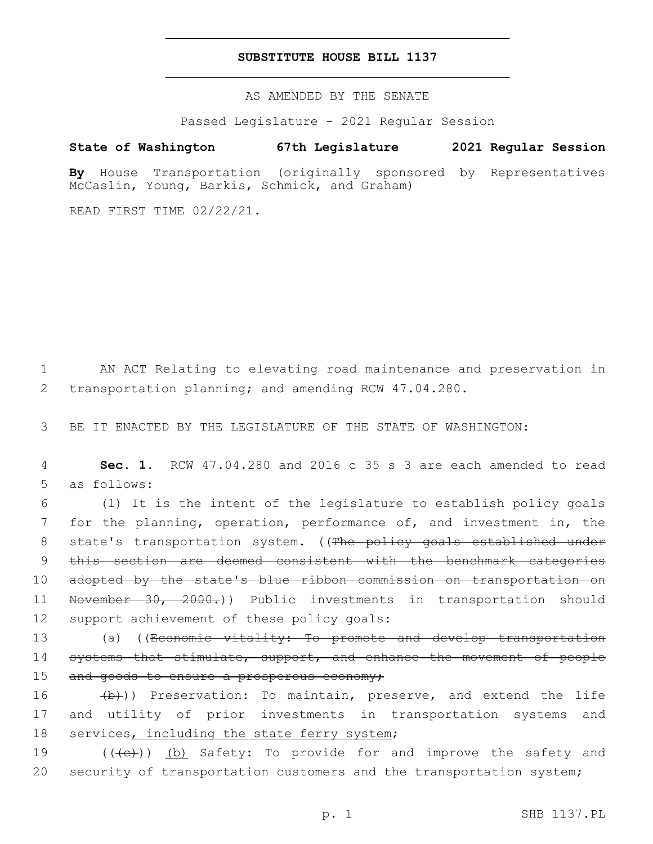#### **SUBSTITUTE HOUSE BILL 1137**

AS AMENDED BY THE SENATE

Passed Legislature - 2021 Regular Session

# **State of Washington 67th Legislature 2021 Regular Session**

**By** House Transportation (originally sponsored by Representatives McCaslin, Young, Barkis, Schmick, and Graham)

READ FIRST TIME 02/22/21.

1 AN ACT Relating to elevating road maintenance and preservation in 2 transportation planning; and amending RCW 47.04.280.

3 BE IT ENACTED BY THE LEGISLATURE OF THE STATE OF WASHINGTON:

4 **Sec. 1.** RCW 47.04.280 and 2016 c 35 s 3 are each amended to read 5 as follows:

6 (1) It is the intent of the legislature to establish policy goals 7 for the planning, operation, performance of, and investment in, the 8 state's transportation system. ((The policy goals established under 9 this section are deemed consistent with the benchmark categories 10 adopted by the state's blue ribbon commission on transportation on 11 November 30, 2000.)) Public investments in transportation should 12 support achievement of these policy goals:

13 (a) ((Economic vitality: To promote and develop transportation 14 systems that stimulate, support, and enhance the movement of people 15 and goods to ensure a prosperous economy;

16 (b)) Preservation: To maintain, preserve, and extend the life 17 and utility of prior investments in transportation systems and 18 services, including the state ferry system;

19 (((e)) (b) Safety: To provide for and improve the safety and 20 security of transportation customers and the transportation system;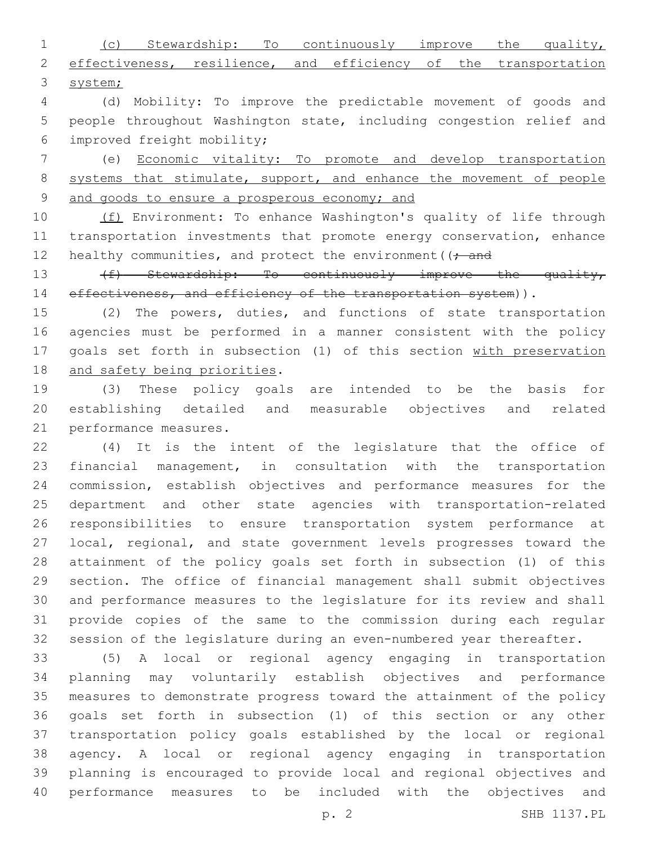(c) Stewardship: To continuously improve the quality, 2 effectiveness, resilience, and efficiency of the transportation system;

 (d) Mobility: To improve the predictable movement of goods and people throughout Washington state, including congestion relief and improved freight mobility;6

 (e) Economic vitality: To promote and develop transportation 8 systems that stimulate, support, and enhance the movement of people and goods to ensure a prosperous economy; and

10 (f) Environment: To enhance Washington's quality of life through transportation investments that promote energy conservation, enhance 12 healthy communities, and protect the environment ( $\rightarrow$  and

13 (f) Stewardship: To continuously improve the quality, 14 effectiveness, and efficiency of the transportation system)).

 (2) The powers, duties, and functions of state transportation agencies must be performed in a manner consistent with the policy goals set forth in subsection (1) of this section with preservation 18 and safety being priorities.

 (3) These policy goals are intended to be the basis for establishing detailed and measurable objectives and related 21 performance measures.

 (4) It is the intent of the legislature that the office of financial management, in consultation with the transportation commission, establish objectives and performance measures for the department and other state agencies with transportation-related responsibilities to ensure transportation system performance at local, regional, and state government levels progresses toward the attainment of the policy goals set forth in subsection (1) of this section. The office of financial management shall submit objectives and performance measures to the legislature for its review and shall provide copies of the same to the commission during each regular session of the legislature during an even-numbered year thereafter.

 (5) A local or regional agency engaging in transportation planning may voluntarily establish objectives and performance measures to demonstrate progress toward the attainment of the policy goals set forth in subsection (1) of this section or any other transportation policy goals established by the local or regional agency. A local or regional agency engaging in transportation planning is encouraged to provide local and regional objectives and performance measures to be included with the objectives and